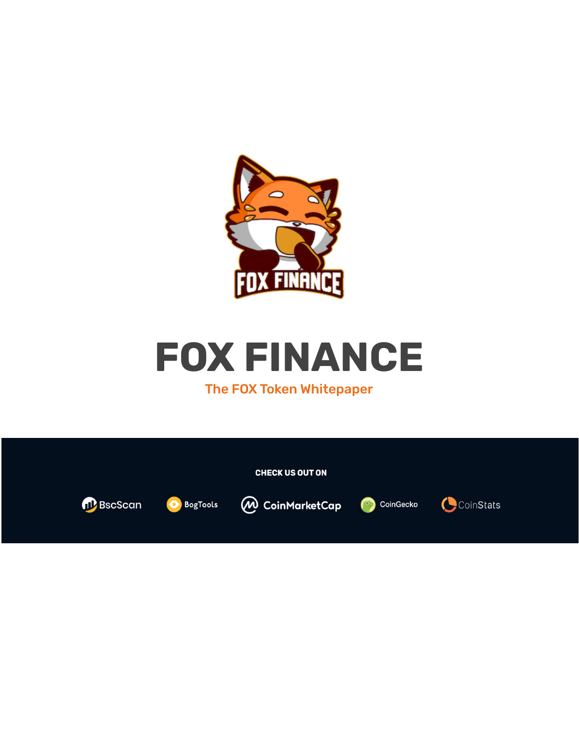



### The FOX Token Whitepaper

|                        |                 | <b>CHECK US OUT ON</b>                  |            |
|------------------------|-----------------|-----------------------------------------|------------|
| n <sup>p</sup> BscScan | <b>BogTools</b> | <b><i>M</i></b> CoinMarketCap CoinGecko | (CoinStats |
|                        |                 |                                         |            |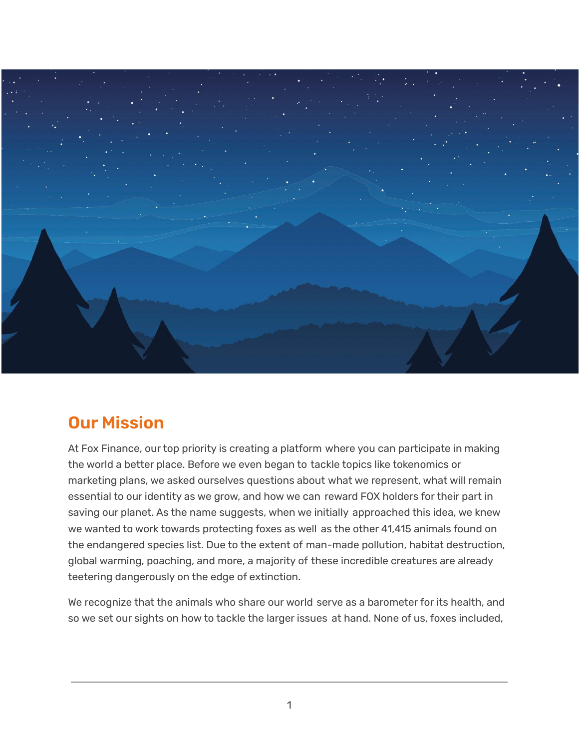

## **Our Mission**

At Fox Finance, our top priority is creating a platform where you can participate in making the world a better place. Before we even began to tackle topics like tokenomics or marketing plans, we asked ourselves questions about what we represent, what will remain essential to our identity as we grow, and how we can reward FOX holders for their part in saving our planet. As the name suggests, when we initially approached this idea, we knew we wanted to work towards protecting foxes as well as the other 41,415 animals found on the endangered species list. Due to the extent of man-made pollution, habitat destruction, global warming, poaching, and more, a majority of these incredible creatures are already teetering dangerously on the edge of extinction.

We recognize that the animals who share our world serve as a barometer for its health, and so we set our sights on how to tackle the larger issues at hand. None of us, foxes included,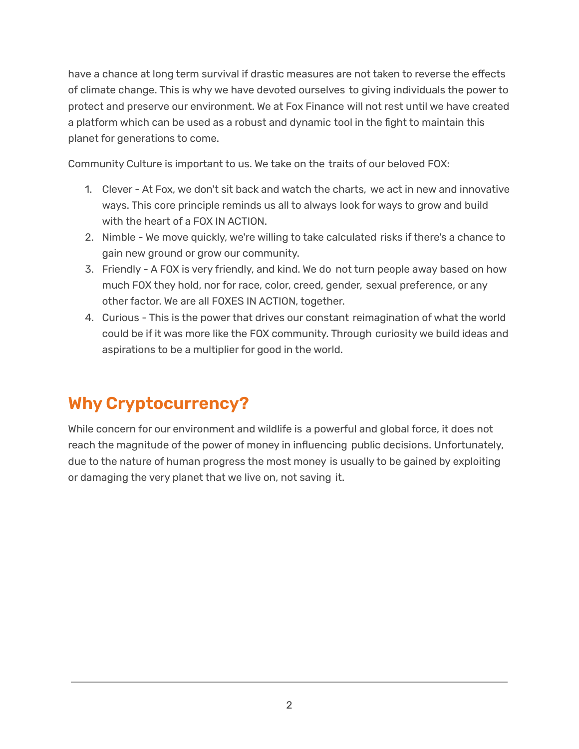have a chance at long term survival if drastic measures are not taken to reverse the effects of climate change. This is why we have devoted ourselves to giving individuals the power to protect and preserve our environment. We at Fox Finance will not rest until we have created a platform which can be used as a robust and dynamic tool in the fight to maintain this planet for generations to come.

Community Culture is important to us. We take on the traits of our beloved FOX:

- 1. Clever At Fox, we don't sit back and watch the charts, we act in new and innovative ways. This core principle reminds us all to always look for ways to grow and build with the heart of a FOX IN ACTION.
- 2. Nimble We move quickly, we're willing to take calculated risks if there's a chance to gain new ground or grow our community.
- 3. Friendly A FOX is very friendly, and kind. We do not turn people away based on how much FOX they hold, nor for race, color, creed, gender, sexual preference, or any other factor. We are all FOXES IN ACTION, together.
- 4. Curious This is the power that drives our constant reimagination of what the world could be if it was more like the FOX community. Through curiosity we build ideas and aspirations to be a multiplier for good in the world.

# **Why Cryptocurrency?**

While concern for our environment and wildlife is a powerful and global force, it does not reach the magnitude of the power of money in influencing public decisions. Unfortunately, due to the nature of human progress the most money is usually to be gained by exploiting or damaging the very planet that we live on, not saving it.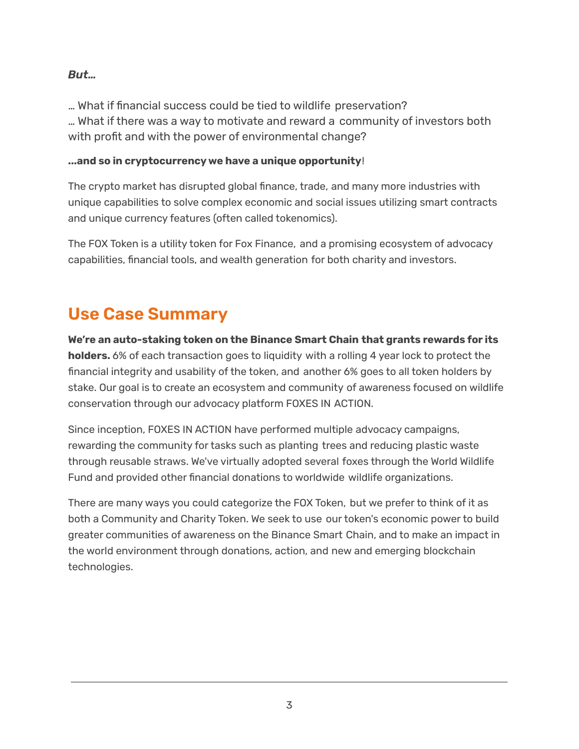### *But…*

… What if financial success could be tied to wildlife preservation? … What if there was a way to motivate and reward a community of investors both with profit and with the power of environmental change?

#### **...and so in cryptocurrency we have a unique opportunity**!

The crypto market has disrupted global finance, trade, and many more industries with unique capabilities to solve complex economic and social issues utilizing smart contracts and unique currency features (often called tokenomics).

The FOX Token is a utility token for Fox Finance, and a promising ecosystem of advocacy capabilities, financial tools, and wealth generation for both charity and investors.

## **Use Case Summary**

**We're an auto-staking token on the Binance Smart Chain that grants rewards for its holders.** 6% of each transaction goes to liquidity with a rolling 4 year lock to protect the financial integrity and usability of the token, and another 6% goes to all token holders by stake. Our goal is to create an ecosystem and community of awareness focused on wildlife conservation through our advocacy platform FOXES IN ACTION.

Since inception, FOXES IN ACTION have performed multiple advocacy campaigns, rewarding the community for tasks such as planting trees and reducing plastic waste through reusable straws. We've virtually adopted several foxes through the World Wildlife Fund and provided other financial donations to worldwide wildlife organizations.

There are many ways you could categorize the FOX Token, but we prefer to think of it as both a Community and Charity Token. We seek to use our token's economic power to build greater communities of awareness on the Binance Smart Chain, and to make an impact in the world environment through donations, action, and new and emerging blockchain technologies.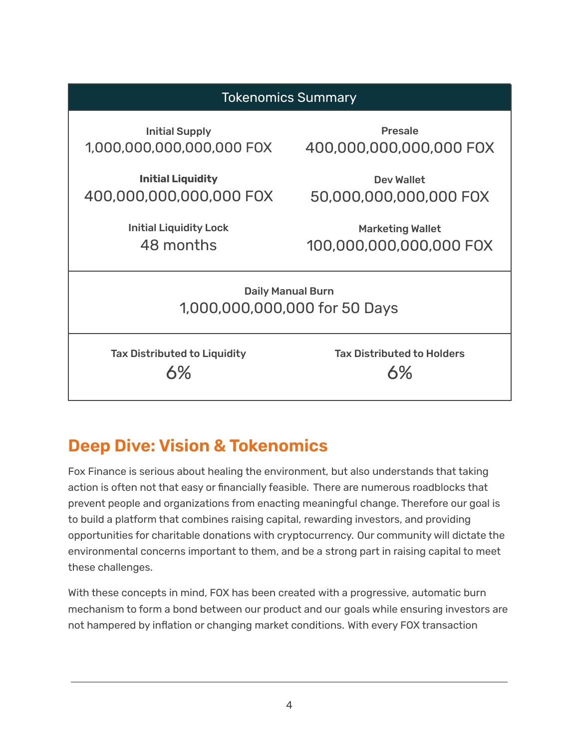

# **Deep Dive: Vision & Tokenomics**

Fox Finance is serious about healing the environment, but also understands that taking action is often not that easy or financially feasible. There are numerous roadblocks that prevent people and organizations from enacting meaningful change. Therefore our goal is to build a platform that combines raising capital, rewarding investors, and providing opportunities for charitable donations with cryptocurrency. Our community will dictate the environmental concerns important to them, and be a strong part in raising capital to meet these challenges.

With these concepts in mind, FOX has been created with a progressive, automatic burn mechanism to form a bond between our product and our goals while ensuring investors are not hampered by inflation or changing market conditions. With every FOX transaction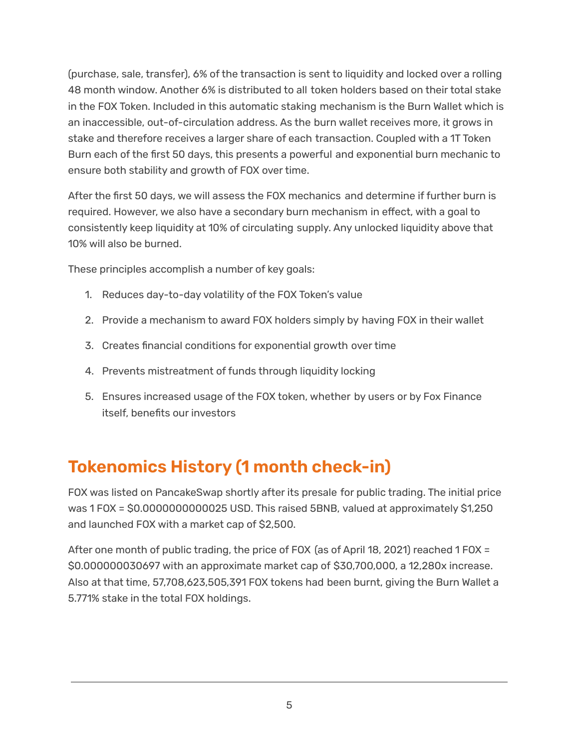(purchase, sale, transfer), 6% of the transaction is sent to liquidity and locked over a rolling 48 month window. Another 6% is distributed to all token holders based on their total stake in the FOX Token. Included in this automatic staking mechanism is the Burn Wallet which is an inaccessible, out-of-circulation address. As the burn wallet receives more, it grows in stake and therefore receives a larger share of each transaction. Coupled with a 1T Token Burn each of the first 50 days, this presents a powerful and exponential burn mechanic to ensure both stability and growth of FOX over time.

After the first 50 days, we will assess the FOX mechanics and determine if further burn is required. However, we also have a secondary burn mechanism in effect, with a goal to consistently keep liquidity at 10% of circulating supply. Any unlocked liquidity above that 10% will also be burned.

These principles accomplish a number of key goals:

- 1. Reduces day-to-day volatility of the FOX Token's value
- 2. Provide a mechanism to award FOX holders simply by having FOX in their wallet
- 3. Creates financial conditions for exponential growth over time
- 4. Prevents mistreatment of funds through liquidity locking
- 5. Ensures increased usage of the FOX token, whether by users or by Fox Finance itself, benefits our investors

# **Tokenomics History (1 month check-in)**

FOX was listed on PancakeSwap shortly after its presale for public trading. The initial price was 1 FOX = \$0.0000000000025 USD. This raised 5BNB, valued at approximately \$1,250 and launched FOX with a market cap of \$2,500.

After one month of public trading, the price of FOX (as of April 18, 2021) reached 1 FOX = \$0.000000030697 with an approximate market cap of \$30,700,000, a 12,280x increase. Also at that time, 57,708,623,505,391 FOX tokens had been burnt, giving the Burn Wallet a 5.771% stake in the total FOX holdings.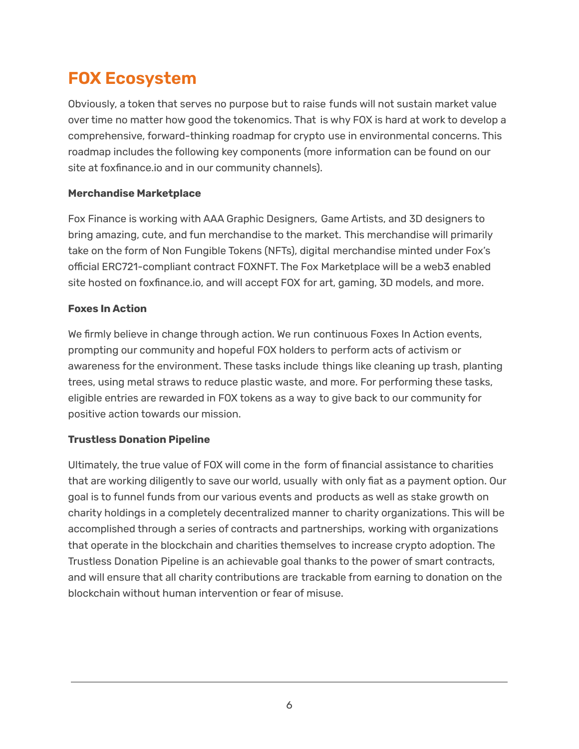# **FOX Ecosystem**

Obviously, a token that serves no purpose but to raise funds will not sustain market value over time no matter how good the tokenomics. That is why FOX is hard at work to develop a comprehensive, forward-thinking roadmap for crypto use in environmental concerns. This roadmap includes the following key components (more information can be found on our site at foxfinance.io and in our community channels).

### **Merchandise Marketplace**

Fox Finance is working with AAA Graphic Designers, Game Artists, and 3D designers to bring amazing, cute, and fun merchandise to the market. This merchandise will primarily take on the form of Non Fungible Tokens (NFTs), digital merchandise minted under Fox's official ERC721-compliant contract FOXNFT. The Fox Marketplace will be a web3 enabled site hosted on foxfinance.io, and will accept FOX for art, gaming, 3D models, and more.

#### **Foxes In Action**

We firmly believe in change through action. We run continuous Foxes In Action events, prompting our community and hopeful FOX holders to perform acts of activism or awareness for the environment. These tasks include things like cleaning up trash, planting trees, using metal straws to reduce plastic waste, and more. For performing these tasks, eligible entries are rewarded in FOX tokens as a way to give back to our community for positive action towards our mission.

### **Trustless Donation Pipeline**

Ultimately, the true value of FOX will come in the form of financial assistance to charities that are working diligently to save our world, usually with only fiat as a payment option. Our goal is to funnel funds from our various events and products as well as stake growth on charity holdings in a completely decentralized manner to charity organizations. This will be accomplished through a series of contracts and partnerships, working with organizations that operate in the blockchain and charities themselves to increase crypto adoption. The Trustless Donation Pipeline is an achievable goal thanks to the power of smart contracts, and will ensure that all charity contributions are trackable from earning to donation on the blockchain without human intervention or fear of misuse.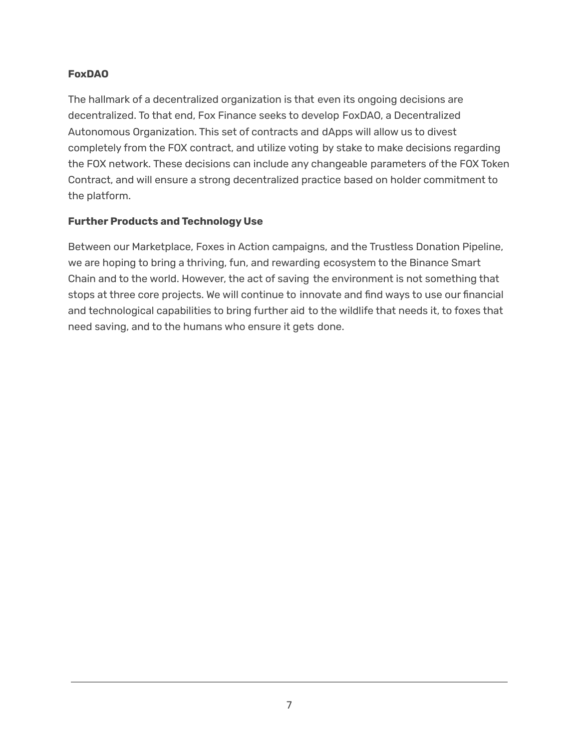#### **FoxDAO**

The hallmark of a decentralized organization is that even its ongoing decisions are decentralized. To that end, Fox Finance seeks to develop FoxDAO, a Decentralized Autonomous Organization. This set of contracts and dApps will allow us to divest completely from the FOX contract, and utilize voting by stake to make decisions regarding the FOX network. These decisions can include any changeable parameters of the FOX Token Contract, and will ensure a strong decentralized practice based on holder commitment to the platform.

#### **Further Products and Technology Use**

Between our Marketplace, Foxes in Action campaigns, and the Trustless Donation Pipeline, we are hoping to bring a thriving, fun, and rewarding ecosystem to the Binance Smart Chain and to the world. However, the act of saving the environment is not something that stops at three core projects. We will continue to innovate and find ways to use our financial and technological capabilities to bring further aid to the wildlife that needs it, to foxes that need saving, and to the humans who ensure it gets done.